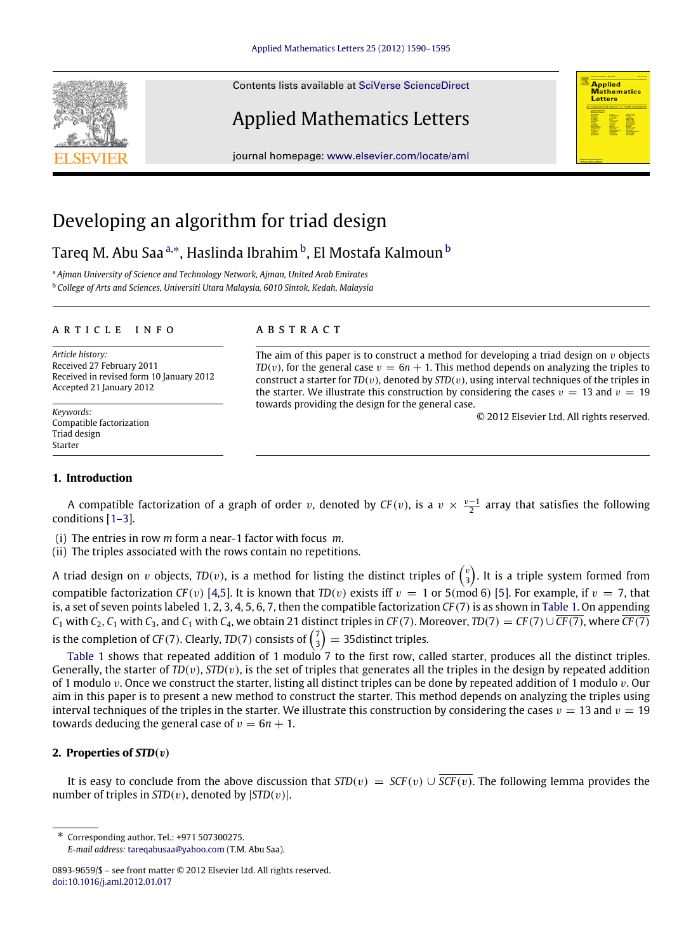Contents lists available at [SciVerse ScienceDirect](http://www.elsevier.com/locate/aml)

## Applied Mathematics Letters

journal homepage: [www.elsevier.com/locate/aml](http://www.elsevier.com/locate/aml)

# Developing an algorithm for triad design

## Tareq M. A[b](#page-0-2)u Saa ª.\*, Haslinda Ibrahim <sup>b</sup>, El Mostafa Kalmoun <sup>b</sup>

<span id="page-0-0"></span><sup>a</sup> *Ajman University of Science and Technology Network, Ajman, United Arab Emirates*

<span id="page-0-2"></span><sup>b</sup> *College of Arts and Sciences, Universiti Utara Malaysia, 6010 Sintok, Kedah, Malaysia*

### a r t i c l e i n f o

*Article history:* Received 27 February 2011 Received in revised form 10 January 2012 Accepted 21 January 2012

*Keywords:* Compatible factorization Triad design Starter

## a b s t r a c t

The aim of this paper is to construct a method for developing a triad design on  $\nu$  objects  $TD(v)$ , for the general case  $v = 6n + 1$ . This method depends on analyzing the triples to construct a starter for  $TD(v)$ , denoted by  $STD(v)$ , using interval techniques of the triples in the starter. We illustrate this construction by considering the cases  $v = 13$  and  $v = 19$ towards providing the design for the general case.

© 2012 Elsevier Ltd. All rights reserved.

**Applied Mathematics**<br>Letters

## **1. Introduction**

A compatible factorization of a graph of order v, denoted by  $CF(v)$ , is a  $v \times \frac{v-1}{2}$  array that satisfies the following conditions [\[1–3\]](#page-5-0).

(i) The entries in row *m* form a near-1 factor with focus *m*.

(ii) The triples associated with the rows contain no repetitions.

A triad design on  $v$  objects,  $TD(v)$ , is a method for listing the distinct triples of  $\binom{v}{3}$ . It is a triple system formed from compatible factorization *CF*(*v*) [\[4,](#page-5-1)[5\]](#page-5-2). It is known that *TD*(*v*) exists iff  $v = 1$  or 5(mod 6) [\[5\]](#page-5-2). For example, if  $v = 7$ , that is, a set of seven points labeled 1, 2, 3, 4, 5, 6, 7, then the compatible factorization *CF* (7) is as shown in [Table 1.](#page-1-0) On appending *C*<sub>1</sub> with *C*<sub>2</sub>, *C*<sub>1</sub> with *C*<sub>3</sub>, and *C*<sub>1</sub> with *C*<sub>4</sub>, we obtain 21 distinct triples in *CF* (7). Moreover, *TD*(7) = *CF* (7)∪  $\overline{CF(7)}$ , where  $\overline{CF(7)}$ is the completion of *CF*(7). Clearly, *TD*(7) consists of  $\binom{7}{3}$  = 35 distinct triples.

[Table 1](#page-1-0) shows that repeated addition of 1 modulo 7 to the first row, called starter, produces all the distinct triples. Generally, the starter of  $TD(v)$ ,  $STD(v)$ , is the set of triples that generates all the triples in the design by repeated addition of 1 modulo v. Once we construct the starter, listing all distinct triples can be done by repeated addition of 1 modulo v. Our aim in this paper is to present a new method to construct the starter. This method depends on analyzing the triples using interval techniques of the triples in the starter. We illustrate this construction by considering the cases  $v = 13$  and  $v = 19$ towards deducing the general case of  $v = 6n + 1$ .

## **2. Properties of** *STD*(v)

It is easy to conclude from the above discussion that  $STD(v) = SCF(v) \cup \overline{SCF(v)}$ . The following lemma provides the number of triples in  $STD(v)$ , denoted by  $|STD(v)|$ .

<span id="page-0-1"></span>∗ Corresponding author. Tel.: +971 507300275. *E-mail address:* [tareqabusaa@yahoo.com](mailto:tareqabusaa@yahoo.com) (T.M. Abu Saa).



<sup>0893-9659/\$ –</sup> see front matter © 2012 Elsevier Ltd. All rights reserved. [doi:10.1016/j.aml.2012.01.017](http://dx.doi.org/10.1016/j.aml.2012.01.017)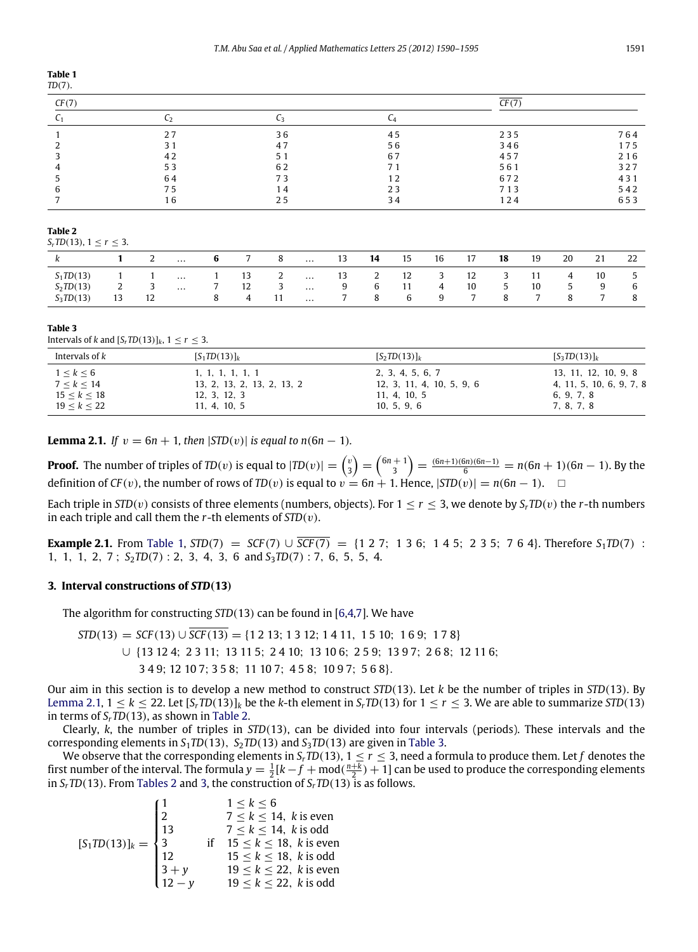## <span id="page-1-0"></span>**Table 1**

|--|

| CF(7) |    | ^F (*) |    |     |     |  |  |
|-------|----|--------|----|-----|-----|--|--|
|       |    |        |    |     |     |  |  |
|       | 27 | 36     | 45 | 235 | 764 |  |  |
|       | 31 | 47     | 56 | 346 | 175 |  |  |
|       | 42 | 51     | 67 | 457 | 216 |  |  |
|       | 53 | 62     | 71 | 561 | 327 |  |  |
|       | 64 | 73     | 12 | 672 | 431 |  |  |
|       | 75 | 14     | 23 | 713 | 542 |  |  |
|       |    | 25     | 34 | 124 | 653 |  |  |

#### <span id="page-1-2"></span>**Table 2**

*S*<sup>*r*</sup> *D*(13), 1  $\leq r \leq 3$ .

|                        |    | $\mathcal{L}$ | $\cdots$ |              |    | 8             | $\cdots$ | 13     | 14            | 15 | 16 | 17 | 18 | 19 | 20 | 21 | 22            |
|------------------------|----|---------------|----------|--------------|----|---------------|----------|--------|---------------|----|----|----|----|----|----|----|---------------|
| $S_1$ <i>TD</i> (13)   |    |               | $\cdots$ |              | 13 | $\mathcal{L}$ | $\cdots$ | 13     | $\mathcal{L}$ | 12 | 3  | 12 | ے  | 11 | 4  | 10 | $\mathcal{D}$ |
| $S_2$ <i>TD</i> $(13)$ | ∼  | ັ             | $\cdots$ |              | 12 | ್ರ            | $\cdots$ | Q<br>◡ | 6             | 11 | 4  | 10 | C  | 10 |    |    | 6             |
| $S_3$ <i>TD</i> $(13)$ | 13 | 12            |          | $\mathbf{x}$ | 4  | 11            | $\cdots$ |        | 8             | 6  | 9  |    | 8  |    | 8  | -  |               |

#### <span id="page-1-3"></span>**Table 3**

Intervals of *k* and  $[S_r \text{TD}(13)]_k$ ,  $1 \leq r \leq 3$ .

| Intervals of k      | $[S_1TD(13)]_k$            | $[S_2TD(13)]_k$           | $[S_3TD(13)]_k$          |
|---------------------|----------------------------|---------------------------|--------------------------|
| $1 \leq k \leq 6$   | 1, 1, 1, 1, 1, 1           | 2, 3, 4, 5, 6, 7          | 13, 11, 12, 10, 9, 8     |
| 7 < k < 14          | 13, 2, 13, 2, 13, 2, 13, 2 | 12, 3, 11, 4, 10, 5, 9, 6 | 4, 11, 5, 10, 6, 9, 7, 8 |
| $15 \leq k \leq 18$ | 12, 3, 12, 3               | 11, 4, 10, 5              | 6, 9, 7, 8               |
| 19 < k < 22         | 11, 4, 10, 5               | 10, 5, 9, 6               | 7, 8, 7, 8               |

<span id="page-1-1"></span>**Lemma 2.1.** *If*  $v = 6n + 1$ , *then*  $|STD(v)|$  *is equal to n*(6*n* − 1)*.* 

**Proof.** The number of triples of *TD*(*v*) is equal to  $|TD(v)| = {v \choose 3} = {6n+1 \choose 3} = {6n+1 \choose 5} = {6n+1 \choose 6} = n(6n+1)(6n-1)$ . By the definition of *CF*(*v*), the number of rows of *TD*(*v*) is equal to  $v = 6n + 1$ . Hence,  $|STD(v)| = n(6n - 1)$ . □

Each triple in *STD*(*v*) consists of three elements (numbers, objects). For  $1 \le r \le 3$ , we denote by  $S_r \cdot T D(v)$  the *r*-th numbers in each triple and call them the *r*-th elements of *STD*(v).

**Example 2.1.** From [Table 1,](#page-1-0)  $STD(7) = SCF(7) \cup \overline{SCF(7)} = \{1\ 2\ 7;\ 1\ 3\ 6;\ 1\ 4\ 5;\ 2\ 3\ 5;\ 7\ 6\ 4\}.$  Therefore  $S_1TD(7)$  : 1, 1, 1, 2, 7 ; *S*2*TD*(7) : 2, 3, 4, 3, 6 and *S*3*TD*(7) : 7, 6, 5, 5, 4.

### <span id="page-1-4"></span>**3. Interval constructions of** *STD*(**13**)

The algorithm for constructing *STD*(13) can be found in [\[6](#page-5-3)[,4,](#page-5-1)[7\]](#page-5-4). We have

 $STD(13) = SCF(13) \cup \overline{SCF(13)} = \{1\ 2\ 13; 1\ 3\ 12; 1\ 4\ 11, 1\ 5\ 10; 1\ 6\ 9; 1\ 7\ 8\}$ ∪ {13 12 4; 2 3 11; 13 11 5; 2 4 10; 13 10 6; 2 5 9; 13 9 7; 2 6 8; 12 11 6; 3 4 9; 12 10 7; 3 5 8; 11 10 7; 4 5 8; 10 9 7; 5 6 8}.

Our aim in this section is to develop a new method to construct *STD*(13). Let *k* be the number of triples in *STD*(13). By [Lemma 2.1,](#page-1-1)  $1 \le k \le 22$ . Let  $[S_r \text{TD}(13)]_k$  be the *k*-th element in  $S_r \text{TD}(13)$  for  $1 \le r \le 3$ . We are able to summarize *STD*(13) in terms of  $S_r$ *TD*(13), as shown in [Table 2.](#page-1-2)

Clearly, *k*, the number of triples in *STD*(13), can be divided into four intervals (periods). These intervals and the corresponding elements in  $S_1TD(13)$ ,  $S_2TD(13)$  and  $S_3TD(13)$  are given in [Table 3.](#page-1-3)

We observe that the corresponding elements in  $S_r$   $TD(13)$ ,  $1 \leq r \leq 3$ , need a formula to produce them. Let  $f$  denotes the first number of the interval. The formula  $y = \frac{1}{2}[k - f + \text{mod}(\frac{n+k}{2}) + 1]$  can be used to produce the corresponding elements in *SrTD*(13). From [Tables 2](#page-1-2) and [3,](#page-1-3) the construction of *SrTD*(13) is as follows.

$$
[S_1 \text{TD}(13)]_k = \begin{cases} 1 & 1 \le k \le 6 \\ 2 & 7 \le k \le 14, \text{ } k \text{ is even} \\ 13 & 7 \le k \le 14, \text{ } k \text{ is odd} \\ 3 & \text{if } 15 \le k \le 18, \text{ } k \text{ is even} \\ 12 & 15 \le k \le 18, \text{ } k \text{ is odd} \\ 3 + y & 19 \le k \le 22, \text{ } k \text{ is even} \\ 12 - y & 19 \le k \le 22, \text{ } k \text{ is odd} \end{cases}
$$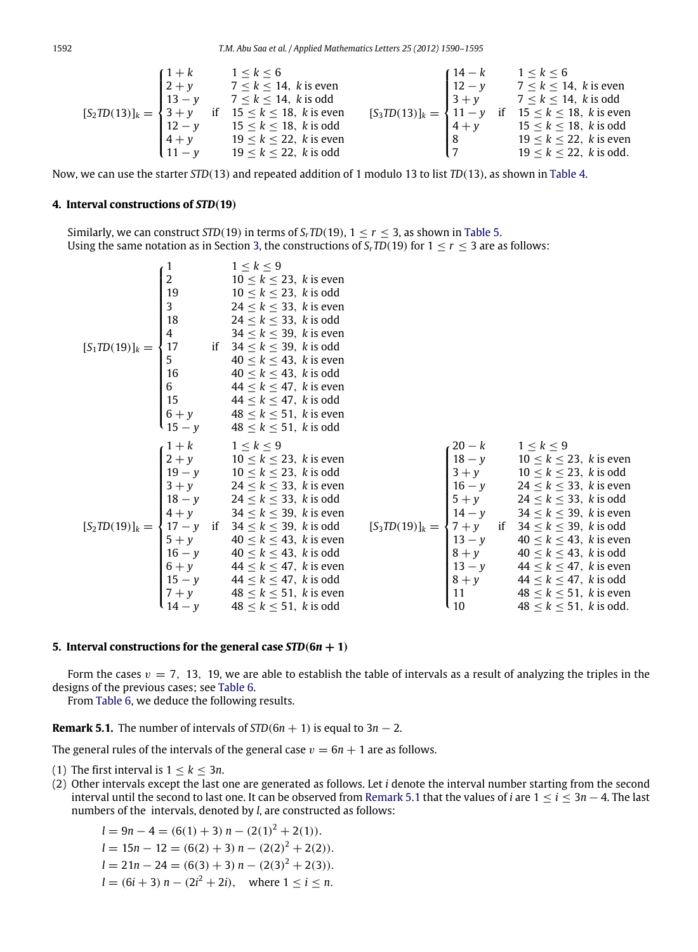$$
[S_2TD(13)]_k = \begin{cases} 1+k & 1 \le k \le 6 \\ 2+y & 7 \le k \le 14, \ k \text{ is even} \\ 13-y & 7 \le k \le 14, \ k \text{ is odd} \\ 3+y & \text{if } 15 \le k \le 18, \ k \text{ is even} \\ 12-y & 15 \le k \le 18, \ k \text{ is odd} \\ 4+y & 19 \le k \le 22, \ k \text{ is even} \\ 11-y & 19 \le k \le 22, \ k \text{ is odd} \end{cases} \qquad [S_3TD(13)]_k = \begin{cases} 14-k & 1 \le k \le 6 \\ 12-y & 7 \le k \le 14, \ k \text{ is even} \\ 3+y & 7 \le k \le 14, \ k \text{ is odd} \\ 11-y & \text{if } 15 \le k \le 18, \ k \text{ is even} \\ 8 & 19 \le k \le 22, \ k \text{ is even} \\ 7 & 19 \le k \le 22, \ k \text{ is odd.} \end{cases}
$$

Now, we can use the starter *STD*(13) and repeated addition of 1 modulo 13 to list *TD*(13), as shown in [Table 4.](#page-3-0)

## **4. Interval constructions of** *STD*(**19**)

Similarly, we can construct *STD*(19) in terms of *S<sub>r</sub>TD*(19),  $1 \le r \le 3$ , as shown in [Table 5.](#page-3-1) Using the same notation as in Section [3,](#page-1-4) the constructions of  $S_r$ *TD*(19) for  $1 \le r \le 3$  are as follows:

$$
\begin{cases}\n1 & 1 \le k \le 9 \\
2 & 10 \le k \le 23, k \text{ is even} \\
3 & 24 \le k \le 33, k \text{ is even} \\
4 & 34 \le k \le 39, k \text{ is even} \\
5 & 40 \le k \le 43, k \text{ is even} \\
6 & 44 \le k \le 47, k \text{ is even} \\
15 & 45 \le k \le 33, k \text{ is even} \\
16 & 48 \le k \le 51, k \text{ is even} \\
17 & 18 \le k \le 53, k \text{ is even} \\
18 & 10 \le k \le 23, k \text{ is even} \\
19 - y & 10 \le k \le 23, k \text{ is even} \\
14 & 34 \le k \le 51, k \text{ is even} \\
15 & 44 \le k \le 9, k \text{ is even} \\
16 & 24 \le k \le 33, k \text{ is even} \\
17 & 10 \le k \le 23, k \text{ is even} \\
18 - y & 10 \le k \le 23, k \text{ is even} \\
18 - y & 10 \le k \le 33, k \text{ is even} \\
18 - y & 34 \le k \le 39, k \text{ is even} \\
18 - y & 34 \le k \le 39, k \text{ is even} \\
19 - y & 10 \le k \le 23, k \text{ is even} \\
18 - y & 44 \le k \le 39, k \text{ is even} \\
19 - y & 10 \le k \le 23, k \text{ is even} \\
14 - y & 34 \le k \le 39, k \text{ is even} \\
16 - y & 40 \le k \le 43, k \text{ is even} \\
16 - y & 40 \le k \le 43, k \text{ is even} \\
16 - y & 44 \le k \le 47, k \text{ is even} \\
17 - y & 44 \le k \le 47, k \text{ is even} \\
18 - y & 44 \le k \le 47, k \text{ is even} \\
19 - y & 44 \le k \le 47, k \text{ is even} \\
14 - y & 48 \le k \le 51, k \text{ is odd}\n\end{cases}
$$
\n
$$
\begin{cases}\n20 - k & 1 \le k \le 9 \\
18 - y & 10 \le k \le 2
$$

#### **5. Interval constructions for the general case**  $STD(6n + 1)$

Form the cases  $v = 7$ , 13, 19, we are able to establish the table of intervals as a result of analyzing the triples in the designs of the previous cases; see [Table 6.](#page-3-2)

<span id="page-2-0"></span>From [Table 6,](#page-3-2) we deduce the following results.

**Remark 5.1.** The number of intervals of  $STD(6n + 1)$  is equal to  $3n - 2$ .

The general rules of the intervals of the general case  $v = 6n + 1$  are as follows.

- (1) The first interval is  $1 < k < 3n$ .
- (2) Other intervals except the last one are generated as follows. Let *i* denote the interval number starting from the second interval until the second to last one. It can be observed from [Remark 5.1](#page-2-0) that the values of *i* are 1 ≤ *i* ≤ 3*n* − 4. The last numbers of the intervals, denoted by *l*, are constructed as follows:

$$
l = 9n - 4 = (6(1) + 3) n - (2(1)2 + 2(1)).
$$
  
\n
$$
l = 15n - 12 = (6(2) + 3) n - (2(2)2 + 2(2)).
$$
  
\n
$$
l = 21n - 24 = (6(3) + 3) n - (2(3)2 + 2(3)).
$$
  
\n
$$
l = (6i + 3) n - (2i2 + 2i), \text{ where } 1 \le i \le n.
$$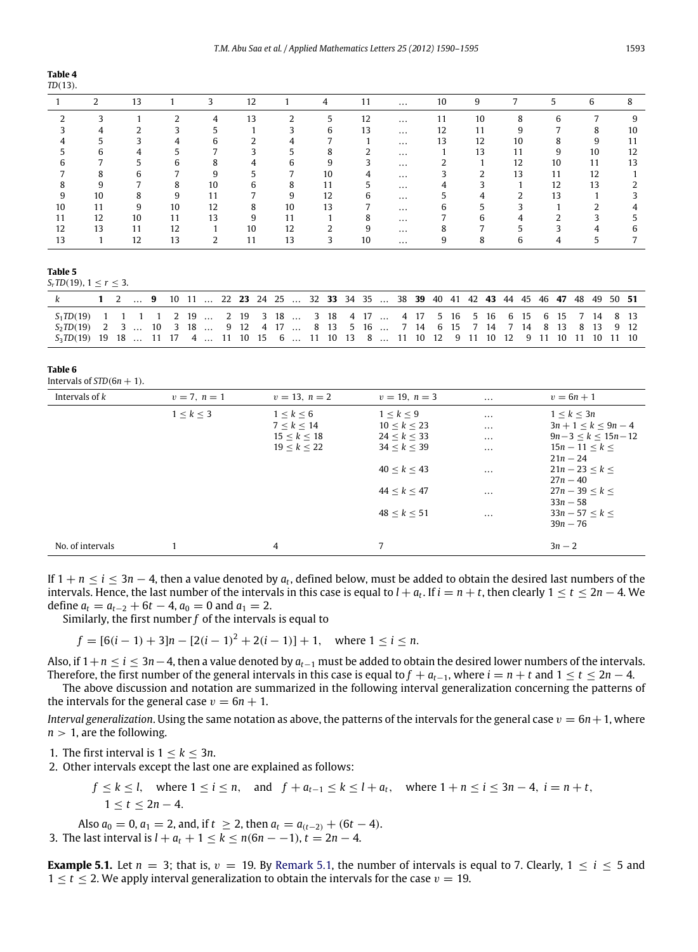<span id="page-3-0"></span>

| nı | г |  |
|----|---|--|
|    |   |  |

|    |    | 13 |                |    | 12 |    | 4  |    | $\cdots$ | 10 | 9  |    |    | b  |    |
|----|----|----|----------------|----|----|----|----|----|----------|----|----|----|----|----|----|
|    |    |    |                | 4  | 13 |    |    | 12 | $\cdots$ | 11 | 10 | 8  | h  |    |    |
|    |    |    |                |    |    |    |    | 13 | $\cdots$ | 12 | 11 | 9  |    | 8  | 10 |
|    |    |    |                | h  |    |    |    |    | $\cdots$ | 13 | 12 | 10 |    | 9  |    |
|    |    |    |                |    |    |    |    |    | $\cdots$ |    | 13 | 11 | 9  | 10 | 12 |
|    |    |    |                | 8  |    |    |    |    | $\cdots$ |    |    | 12 | 10 | 11 | 13 |
|    |    |    |                | 9  |    |    | 10 |    | $\cdots$ |    |    | 13 | 11 | 12 |    |
|    |    |    | $\Omega$<br>δ. | 10 |    | 8  | 11 |    | $\cdots$ |    |    |    | 12 | 13 |    |
|    | 10 | 8  | 9              | 11 |    | 9  | 12 |    | $\cdots$ |    |    | ำ  | 13 |    |    |
| 10 | 11 | 9  | 10             | 12 | 8  | 10 | 13 |    | $\cdots$ |    |    |    |    |    |    |
|    | 12 | 10 | 11             | 13 | 9  | 11 |    |    | $\cdots$ |    |    |    |    |    |    |
| 12 | 13 | 11 | 12             |    | 10 | 12 |    |    | $\cdots$ |    |    |    |    |    |    |
|    |    | 12 | 13             |    | 11 | 13 |    |    | $\cdots$ |    |    |    |    |    |    |

<span id="page-3-1"></span>**Table 5**

*S*<sup>*r*</sup> *D*(19), 1  $\leq r \leq 3$ .

|                                                                                                       |  | 1 2  9 10 11  22 23 24 25  32 33 34 35  38 39 40 41 42 43 44 45 46 47 48 49 50 51 |  |  |  |  |  |  |  |  |  |  |  |  |  |  |
|-------------------------------------------------------------------------------------------------------|--|-----------------------------------------------------------------------------------|--|--|--|--|--|--|--|--|--|--|--|--|--|--|
| 5, TD(19) 1 1 1 1 2 19  2 19 3 18  3 18 4 17  4 17 5 16 5 16 6 15 6 15 7 14 8 13                      |  |                                                                                   |  |  |  |  |  |  |  |  |  |  |  |  |  |  |
| S <sub>2</sub> TD(19) 2 3  10 3 18  9 12 4 17  8 13 5 16  7 14 6 15 7 14 7 14 8 13 8 13 9 12          |  |                                                                                   |  |  |  |  |  |  |  |  |  |  |  |  |  |  |
| S <sub>3</sub> TD(19) 19 18  11 17 4  11 10 15 6  11 10 13 8  11 10 12 9 11 10 12 9 11 10 11 10 11 10 |  |                                                                                   |  |  |  |  |  |  |  |  |  |  |  |  |  |  |

#### <span id="page-3-2"></span>**Table 6**

Intervals of  $STD(6n + 1)$ .

| Intervals of $k$ | $v = 7, n = 1$ | $v = 13, n = 2$     | $v = 19, n = 3$ | $\cdots$ | $v = 6n + 1$          |
|------------------|----------------|---------------------|-----------------|----------|-----------------------|
|                  | 1 < k < 3      | 1 < k < 6           | 1 < k < 9       | $\cdots$ | 1 < k < 3n            |
|                  |                | 7 < k < 14          | 10 < k < 23     | $\cdots$ | $3n + 1 < k < 9n - 4$ |
|                  |                | $15 \leq k \leq 18$ | 24 < k < 33     | $\cdots$ | $9n-3 < k < 15n-12$   |
|                  |                | $19 \le k \le 22$   | 34 < k < 39     | $\cdots$ | $15n - 11 < k <$      |
|                  |                |                     |                 |          | $21n - 24$            |
|                  |                |                     | 40 < k < 43     | $\cdots$ | $21n - 23 < k <$      |
|                  |                |                     |                 |          | $27n - 40$            |
|                  |                |                     | 44 < k < 47     | $\cdots$ | $27n - 39 < k <$      |
|                  |                |                     |                 |          | $33n - 58$            |
|                  |                |                     | 48 < k < 51     | $\cdots$ | $33n - 57 < k <$      |
|                  |                |                     |                 |          | $39n - 76$            |
|                  |                |                     |                 |          |                       |
| No. of intervals |                | 4                   | 7               |          | $3n - 2$              |

If  $1 + n \le i \le 3n - 4$ , then a value denoted by  $a_t$ , defined below, must be added to obtain the desired last numbers of the intervals. Hence, the last number of the intervals in this case is equal to  $l + a_t$ . If  $i = n + t$ , then clearly  $1 \le t \le 2n - 4$ . We define  $a_t = a_{t-2} + 6t - 4$ ,  $a_0 = 0$  and  $a_1 = 2$ .

Similarly, the first number *f* of the intervals is equal to

$$
f = [6(i-1) + 3]n - [2(i-1)^{2} + 2(i-1)] + 1, \text{ where } 1 \le i \le n.
$$

Also, if 1+*n* ≤ *i* ≤ 3*n*−4, then a value denoted by *at*−<sup>1</sup> must be added to obtain the desired lower numbers of the intervals. Therefore, the first number of the general intervals in this case is equal to  $f + a_{t-1}$ , where  $i = n + t$  and  $1 \le t \le 2n - 4$ .

The above discussion and notation are summarized in the following interval generalization concerning the patterns of the intervals for the general case  $v = 6n + 1$ .

*Interval generalization*. Using the same notation as above, the patterns of the intervals for the general case  $v = 6n + 1$ , where  $n > 1$ , are the following.

1. The first interval is  $1 \leq k \leq 3n$ .

2. Other intervals except the last one are explained as follows:

$$
f \le k \le l, \quad \text{where } 1 \le i \le n, \quad \text{and} \quad f + a_{t-1} \le k \le l + a_t, \quad \text{where } 1 + n \le i \le 3n - 4, \quad i = n + t,
$$
\n
$$
1 \le t \le 2n - 4.
$$

Also  $a_0 = 0$ ,  $a_1 = 2$ , and, if  $t \ge 2$ , then  $a_t = a_{(t-2)} + (6t - 4)$ . 3. The last interval is  $l + a_t + 1 \le k \le n(6n - 1)$ ,  $t = 2n - 4$ .

**Example 5.1.** Let  $n = 3$ ; that is,  $v = 19$ . By [Remark 5.1,](#page-2-0) the number of intervals is equal to 7. Clearly,  $1 \le i \le 5$  and  $1 \le t \le 2$ . We apply interval generalization to obtain the intervals for the case  $v = 19$ .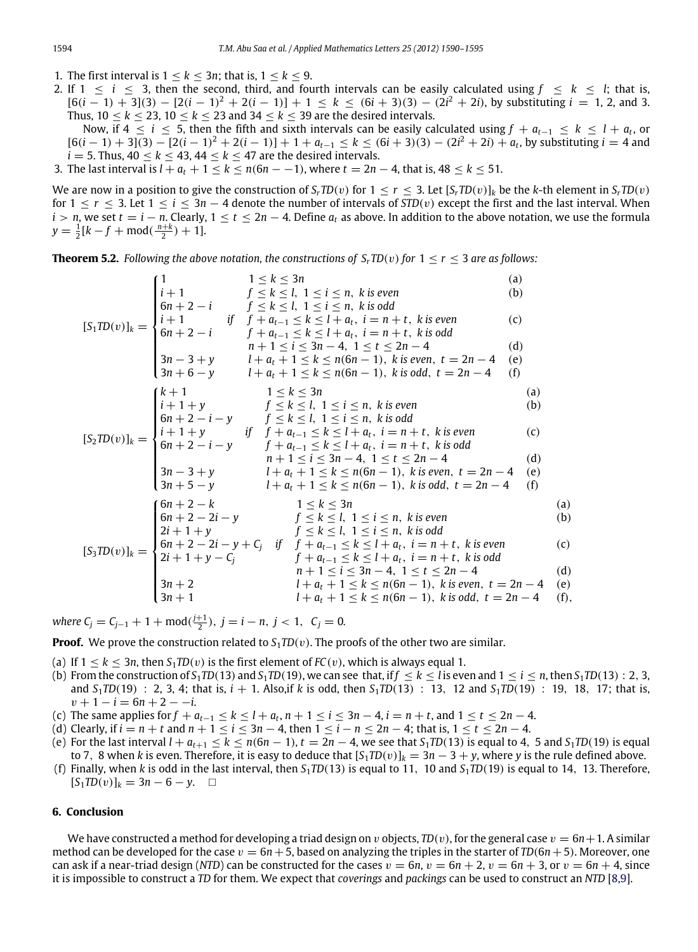- 1. The first interval is  $1 \leq k \leq 3n$ ; that is,  $1 \leq k \leq 9$ .
- 2. If  $1 \leq i \leq 3$ , then the second, third, and fourth intervals can be easily calculated using  $f \leq k \leq l$ ; that is,  $[6(i-1) + 3](3) - [2(i-1)^2 + 2(i-1)] + 1 \le k \le (6i+3)(3) - (2i^2+2i)$ , by substituting  $i = 1, 2$ , and 3. Thus,  $10 \le k \le 23$ ,  $10 \le k \le 23$  and  $34 \le k \le 39$  are the desired intervals.
	- Now, if  $4 ≤ i ≤ 5$ , then the fifth and sixth intervals can be easily calculated using  $f + a_{t-1} ≤ k ≤ l + a_t$ , or  $[6(i-1) + 3](3) - [2(i-1)^2 + 2(i-1)] + 1 + a_{t-1} \le k \le (6i+3)(3) - (2i^2 + 2i) + a_t$ , by substituting  $i = 4$  and  $i = 5$ . Thus,  $40 \le k \le 43$ ,  $44 \le k \le 47$  are the desired intervals.
- 3. The last interval is  $l + a_t + 1 \le k \le n(6n 1)$ , where  $t = 2n 4$ , that is,  $48 \le k \le 51$ .

We are now in a position to give the construction of  $S_r T D(v)$  for  $1 \le r \le 3$ . Let  $[S_r T D(v)]_k$  be the *k*-th element in  $S_r T D(v)$ for  $1 \le r \le 3$ . Let  $1 \le i \le 3n - 4$  denote the number of intervals of  $STD(v)$  except the first and the last interval. When  $i > n$ , we set  $t = i - n$ . Clearly,  $1 \le t \le 2n - 4$ . Define  $a_t$  as above. In addition to the above notation, we use the formula  $y = \frac{1}{2}[k - f + \text{mod}(\frac{n+k}{2}) + 1].$ 

**Theorem 5.2.** *Following the above notation, the constructions of*  $S_r \text{TD}(v)$  *for*  $1 \le r \le 3$  *are as follows:* 

$$
[S_1TD(v)]_k = \begin{cases} 1 & 1 \le k \le 3n & (a) \\ 6n+2-i & f \le k \le l, 1 \le i \le n, \ k \text{ is even} \\ 6n+2-i & f + a_{t-1} \le k \le l + a_t, \ i = n+t, \ k \text{ is even} \\ 6n+2-i & f + a_{t-1} \le k \le l + a_t, \ i = n+t, \ k \text{ is odd} \\ 7n+1 \le i \le 3n-4, \ i = 1 \le t \le 2n-4 & (b) \\ 3n-3+y & l + a_t + 1 \le k \le n(6n-1), \ k \text{ is even}, \ t = 2n-4 & (c) \\ 3n+6-y & l + a_t + 1 \le k \le n(6n-1), \ k \text{ is even}, \ t = 2n-4 & (f) \\ 6n+2-i-y & f \le k \le l, \ 1 \le i \le n, \ k \text{ is odd} \\ 6n+2-i-y & f \le k \le l, \ 1 \le i \le n, \ k \text{ is odd} \end{cases}
$$
\n
$$
[S_2TD(v)]_k = \begin{cases} k+1 & j \le k \le n \\ k+1 & 1 \le k \le n \\ 6n+2-i-y & f \le k \le l, 1 \le i \le n, \ k \text{ is odd} \\ 6n+2-i-y & f \le k \le l, 1 \le i \le n, \ k \text{ is odd} \\ 6n+2-i-y & f + a_{t-1} \le k \le l + a_t, \ i = n+t, \ k \text{ is even} \\ 7n+1 \le i \le 3n-4, \ 1 \le t \le 2n-4 & (d) \\ 3n-3+y & l + a_t + 1 \le k \le n(6n-1), \ k \text{ is even}, \ t = 2n-4 & (e) \\ 3n+5-y & l + a_t + 1 \le k \le n(6n-1), \ k \text{ is even}, \ t = 2n-4 & (f) \\ 6n+2-2i-y & f \le k \le l, \ 1 \le i \le n, \ k \text{ is even} \end{cases}
$$
\n
$$
[S_3TD(v)]_k = \begin{cases} 6n+2-k & 1 \le k \le 3n \\ 6n+2-2i-y & f \le k \le l, 1 \le i \le n, \ k \text{ is even} \\ 2i+
$$

*where*  $C_j = C_{j-1} + 1 + \text{mod}(\frac{j+1}{2}), j = i - n, j < 1, C_j = 0.$ 

**Proof.** We prove the construction related to  $S_1 \cdot T D(v)$ . The proofs of the other two are similar.

- (a) If  $1 \le k \le 3n$ , then  $S_1 \mathcal{D}(v)$  is the first element of  $FC(v)$ , which is always equal 1.
- (b) From the construction of  $S_1$ *TD*(13) and  $S_1$ *TD*(19), we can see that, if  $f \le k \le l$  is even and  $1 \le i \le n$ , then  $S_1$ *TD*(13) : 2, 3, and  $S_1$ *TD*(19) : 2, 3, 4; that is,  $i + 1$ . Also, if *k* is odd, then  $S_1$ *TD*(13) : 13, 12 and  $S_1$ *TD*(19) : 19, 18, 17; that is,  $v + 1 - i = 6n + 2 - -i$ .
- (c) The same applies for  $f + a_{t-1} \le k \le l + a_t, n + 1 \le i \le 3n 4, i = n + t$ , and  $1 \le t \le 2n 4$ .
- (d) Clearly, if  $i = n + t$  and  $n + 1 \le i \le 3n 4$ , then  $1 \le i n \le 2n 4$ ; that is,  $1 \le t \le 2n 4$ .
- (e) For the last interval  $l + a_{t+1} \leq k \leq n(6n-1)$ ,  $t = 2n-4$ , we see that  $S_1TD(13)$  is equal to 4, 5 and  $S_1TD(19)$  is equal to 7, 8 when *k* is even. Therefore, it is easy to deduce that  $[S_1T D(v)]_k = 3n - 3 + y$ , where *y* is the rule defined above.
- (f) Finally, when *k* is odd in the last interval, then  $S_1TD(13)$  is equal to 11, 10 and  $S_1TD(19)$  is equal to 14, 13. Therefore,  $[S_1 T D(v)]_k = 3n - 6 - y$ .  $\Box$

## **6. Conclusion**

We have constructed a method for developing a triad design on v objects,  $TD(v)$ , for the general case  $v = 6n + 1$ . A similar method can be developed for the case  $v = 6n + 5$ , based on analyzing the triples in the starter of  $TD(6n + 5)$ . Moreover, one can ask if a near-triad design (*NTD*) can be constructed for the cases  $v = 6n$ ,  $v = 6n + 2$ ,  $v = 6n + 3$ , or  $v = 6n + 4$ , since it is impossible to construct a *TD* for them. We expect that *coverings* and *packings* can be used to construct an *NTD* [\[8](#page-5-5)[,9\]](#page-5-6).